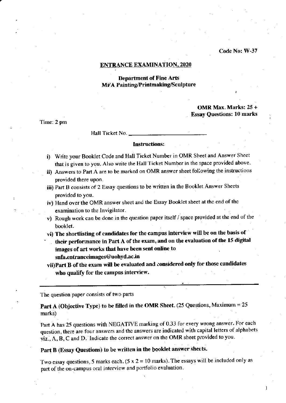#### Code No: W-37

### ENTRANCE EXAMINATION. 2O2O

# Department of Fine Arts MFA Painting/Printmaking/Sculpture

# OMR Max. Marks: 25 + Essay Questions: l0 marks

Tine: 2 pm

#### Hall Ticket No.

#### lnstructions:

- i) Write your Booklet Code and Hall Ticket Number in OMR Sheet and Answer Sheet that is given to you. Also write the Hall Ticket Number in the space provided above.
- ii) Answers to Part A are to be marked on OMR answer sheet foliowing the instructions provided there upon.
- iii) Part B consists of 2 Essay questions to be written in the Booklet Answer Sheets provided to You.
- iv) Hand over the OMR answer sheet and the Essay Booklet sheet at the end of the examination to the lnvigilator.
- v) Rough work can be done in the question paper itself / space provided at the end of the booklet.
- vi) The shortlisting of candidates for the campus interview will be on the basis of
- their performance in Part A of the exam, and on the evaluation of the 15 digital images of art works that have been sent online to snfa.entranceimages@uohyd.ac.in
- vii)Part B of the exam will be evaluated and considered only for those candidates who qualify for the campus interview.

The question paper consists of two parts

Part A (Objective Type) to be filled in the OMR Sheet. (25 Questions, Maximum =  $25$ marks)

Part A has 25 questions with NEGATIVE marking of 0.33 for every wrong answer. For each question, there are four answers and the answers are indicated with capital letters of alphabets viz., A, B, C and D. Indicate the correct answer on the OMR sheet provided to you.

# Part B (Essay Questions) to be written in the booklet answer sheets.

Two essay questions, 5 marks each.  $(5 \times 2 = 10 \text{ marks})$ . The essays will be included only as part of the on-campus oral interview and portfolio evaluation.

 $\mathbf{1}$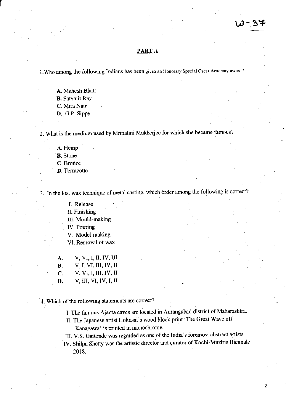$\overline{2}$ 

## PART A

1. Who among the following Indians has been given an Honorary Special Oscar Academy award?

- A. Mahesh Bhatt **B.** Satyajit Ray
- C. Mira Nair
- D. G.P. Sippy

2. What is the mediurn used by Mrinalini Mukherjee for which she became famous?

- A. Hemp
- B. Stone
- C. Bronze
- D. Terracotta

3. In the lost wax technique of metal casting, which order among the following is correct?

I. Release

ll. Finishing

III. Mould-making

- lV. Pouring
- V. Model-making
- VI. Removal of wax
- $A.$  V, VI, I, II, IV, III
- **B. V**, **I**, **VI**, **III**, **IV**, **II**
- c. v, vt,I, m,lv,II
- $D, \qquad V, \text{III}, \text{VI}, \text{IV}, \text{I}, \text{II}$

4. Which of the following statements are correct?

I. The famous Ajanta caves are located in Aurangabad district of Maharashtra.

: .

- II. The Japanese artist Hokusai's wood block print 'The Great Wave off
	- Kanagawa' is printed in monochrome.
- III. V.S. Gaitonde was regarded as one of the India's foremost abstract artists.
- IV. Shilpa Shetty was the artistic director and curator of Kochi-Muziris Biennale 2018.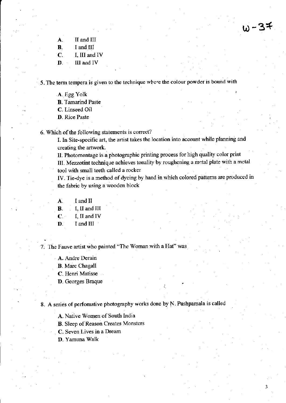$w - 37$ 

- A. II and III
- B. <sup>I</sup>and lll
- C. I, III and IV
- D. III and IV

5. The term tempera is given to the technique whe'e the colour powder is bound with

- A. Egg Yolk
- **B**. Tamarind Paste
- C. Linseed Oil
- D. Rice Paste

6. Which of the following statements is correct?

I. In Site-specific art, the artist takes the location into account while planning and creating the artwork.

II. Photomontage is a photographic printing process for high quality color print III. Mezzotint technique achieves tonality by roughening a metal plate with a metal tool with small teeth called a rocker

IV. Tie-dye is a method of dyeing by hand in which colored patterns are produced in the fabric by using a wooden block

i.

- A. <sup>I</sup>and II
- $\mathbf{B}$ . I. II and III
- C. I, II and IV
- D. I and III

7. The Fauve artist who painted "The Woman with a Hat" was

- A. Andrc Derain
- B. Marc Chagall
- C. Henri Matisse
- D. Georges Braque

8. A series of perfomative photography works done by N. Pushpamala is called

A. Native Women of South India

- **B**. Sleep of Reason Creates Monsters
- C. Seven Lives in a Dream
- D. Yamuna Walk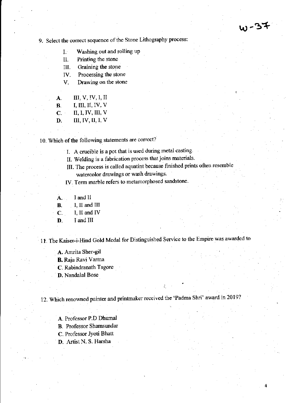w-3?

9. Select the correct sequence of the Stone Lithography process:

- I. Washing out and rolling up
- II. Printing the slone
- lll. Graining the stone

IV. Processing the stone

- V. I)rawing on the stone
- $\mathbf{A}$ . III, V, IV, I, II
- **B. I**, **III**, **II**, **IV**, **V**<br>**C. II**, **I**, **IV**, **III**, **V**
- II, I, IV, III, V
- $\mathbf{D}$ . III, IV, II, I, V

10. Which of the following statements are correct?

- I. A crucible is a pot that is used during metal casting
- II. Welding is a fabrication process that joins materials.
- III. The process is called aquatint because finished prints often resemble
- watercolor drawings or wash drawings.
- IV. Term marble refers to metamorphosed sandstone.
- A. <sup>I</sup>and II
- B. I, II and III
- $C.$  I, II and IV
- D. I and III

11. The Kaiser-i-Hind Gold Medal for Distinguished Service to the Empire was awarded to

- A. Amrita Sher-gil
- B. Raja Ravi Varma
- C. Rabindranath Tagore
- D. Nandalal Bose

12. Which renowned painter and printmaker received the 'Padma Shri' award in 2019?

l.'

- A. Professor P.D Dhumal
- B. Professor Shamsundar
- C. Professor Jyoti Bhatt
- D. Artist N. S. Harsha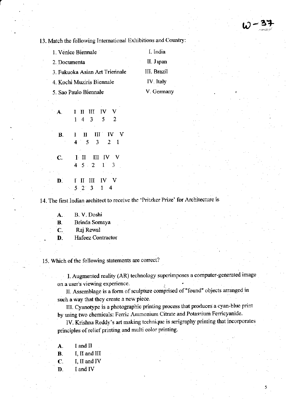13. Match the following Intemational Exhibitions and Country:

 $\omega$  – 37

| 1. Venice Biennale             | I. India    |  |
|--------------------------------|-------------|--|
| 2. Documenta                   | II. Japan   |  |
| 3. Fukuoka Asian Art Triennale | III. Brazil |  |
| 4. Kochi Muziris Biennale      | IV. Italy   |  |
| 5. Sao Paulo Biennale          | V. Germany  |  |

A, IIIIIII IV v  $1 \t4 \t3 \t5 \t2$ **B.** I II III IV

I

 $4^{+1}$  5 3 2 1 C. III III IV <sup>V</sup>

 $4\quad 5\quad 2\quad 1\quad 3$ 

D, IIII IV V  $5 \begin{array}{|c|c|c|} 2 & 3 & 1 & 4 \end{array}$ 

14. The first Indian architect to receive the 'Pritzker Prize' for Architecture is

A. B. V. Doshi

B. Brinda Somaya

- C. Raj Rewal
- D. Hafeez Contractor

15. Which of the following statements are correct?

I. Augmented reality (AR) technology superimposes a computer-generated image on a user's viewing experience.

II. Assemblage is a form of sculpture comprised of"found" objects arranged in such a way that they create a new piece.

III. Cyanotype is a photographic printing process that produces a cyan-blue print by using two chemicals: Ferric Ammonium Citrate and Potassium Ferricyanide.

IV. Krishna Reddy's art making technique is serigraphy printing that incorporates principles of relief printing and multi color printing.

- A. I and II
- B. I, II and III
- C. I, II and IV
- D. I and IV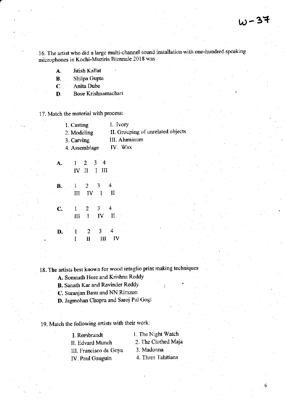16. The artist who did a large multi-channel sound installation with one-hundred speaking microphones in Kochi-Muziris Biennale 2018 was

- A. Jitish Kallat
- B. Shilpa Gupta<br>C. Anita Dube
- Anita Dube
- D. Bose Krishnamachari

<sup>1</sup>7. Match the material with process:

| 1. Casting    | I. Ivory                          |
|---------------|-----------------------------------|
| 2. Modeling   | II. Grouping of unrelated objects |
| 3. Carving    | <b>III.</b> Aluminum              |
| 4. Assemblage | IV. Wax                           |
|               |                                   |

 $A.$  1 2 3 4  $\frac{1}{1}$   $\frac{2}{11}$   $\frac{3}{1}$   $\frac{4}{11}$ 

**B.**  $1\quad 2$  $\overline{4}$ 3 III IV I  $\mathbf{I}$  $C. 1 2$  $\overline{4}$  $\overline{\mathbf{3}}$  $\frac{1}{1}$   $\frac{2}{1}$   $\frac{3}{1}$  $\rm H$ 

**D.**  $1\ 2\ 3$  $\overline{\mathbf{4}}$  $3<sup>2</sup>$  $\mathbf{I}$  II  $\rm III$ IV

18. The artists best known for wood intaglio print making techniques

A. Somnath Hore and Krishna ReddY

**B.** Sanath Kar and Ravinder Reddy

C. Suranjan Basu and NN Rimzon

D. Jagmohan Chopra and Saroj Pal Gogi

19. Match the following artists with their work:

| I. Rembrandt           | 1. The Night Watch  |
|------------------------|---------------------|
| II. Edvard Munch       | 2. The Clothed Maja |
| III. Francisco de Goya | 3. Madonna          |
| IV. Paul Gauguin       | 4. Three Tahitians  |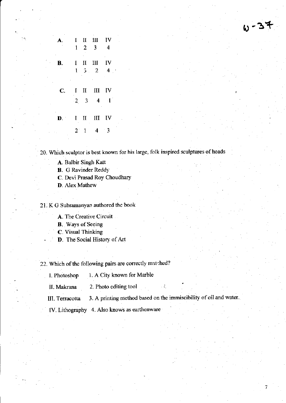|    | L<br>1                      | $\overline{2}$                  | $II$ $III$<br>$\overline{\mathbf{3}}$ | $\mathbf{I}$<br>$\overline{4}$ |  |
|----|-----------------------------|---------------------------------|---------------------------------------|--------------------------------|--|
| В. | $\mathbf I$<br>$\mathbf{1}$ | $\mathbf{H}$<br>3.              | $\mathbf{H}$<br>$\overline{2}$        | IV<br>$\overline{4}$           |  |
| C. | $\mathbf{I}$<br>$\cdot 2$   | $\mathbf{II}$<br>$\overline{3}$ | III IV<br>$\overline{4}$              | $\cdot 1$                      |  |
| D. |                             | $I$ $II$                        | III IV                                |                                |  |
|    | $2^{\circ}$                 | 1                               | 4                                     | 3                              |  |

20. Which sculptor is best known for his large, folk inspired sculptures of heads

 $W - 34$ 

- A. Balbir Singh Katt
- **B.** G Ravinder Reddy
- C. Devi Prasad Roy Choudhary
- D. Alex Mathew

21. K G Subramanyan authored the book

- A. The Creative Circuit
- **B.** Ways of Seeing
- C. Visual Thinking
- D. The Social History of Art

22. Which of the following pairs are correctly matched?

1. A City known for Marble I. Photoshop

II. Makrana 2. Photo editing tool

3. A printing method based on the immiscibility of oil and water. III. Terracotta

 $\sim 7$ 

IV. Lithography 4. Also knows as earthenware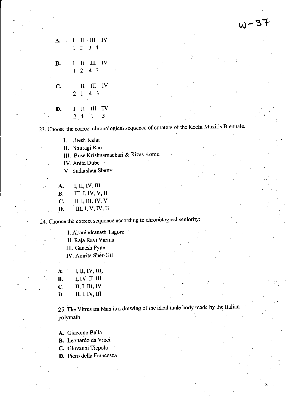$II$   $III$   $IV$  $\bf{I}$ А.  $\overline{2}$  $3\quad 4$  $\mathbf{1}$ III IV Iï **B.** I  $\mathbf{1}$  $\overline{2}$ 4  $\overline{\mathbf{3}}$ 

 $\mathbf{C}$ IV  $\mathbf H$  $\mathbf{III}$  $\bf{I}$  $4<sup>3</sup>$  $\overline{2}$  $\mathbf{1}$ 

 $III$  $\mathbf{W}$ D.  $\mathbf{I}$ I 3  $2^{\frac{1}{2}}$  $\mathbf{1}$ 

23. Choose the correct chronological sequence of curators of the Kochi Muziris Biennale.

 $W - 37$ 

8

- Jitesh Kalat  $\mathbf{I}$ .
- II. Shubigi Rao
- III. Bose Krishnamachari & Rizas Komu
- **IV.** Anita Dube
- V. Sudarshan Shetty
- I, II, IV, III A.

III, I, IV, V, II **B.** 

II, I, III, IV, V C.

III, I, V, IV, II D.

24. Choose the correct sequence according to chronological seniority:

- I. Abanindranath Tagore
- II. Raja Ravi Varma
- III. Ganesh Pyne
- IV. Amrita Sher-Gil
- I, II, IV, III, A.
- $I, IV, II, III$ **B.**
- II, I, III, IV  $\mathbf{C}$ .
- $II, I, IV, III$ D.

25. The Vitruvian Man is a drawing of the ideal male body made by the Italian polymath

- A. Giacomo Balla
- B. Leonardo da Vinci
- C. Giovanni Tiepolo
- D. Piero della Francesca